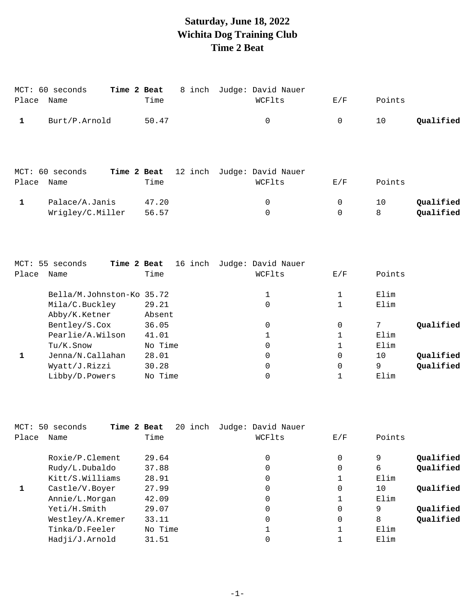# **Saturday, June 18, 2022 Wichita Dog Training Club Time 2 Beat**

| Place        | MCT: 60 seconds<br>Name                                                                                                                                                                                                                                                                                                                                       | Time 2 Beat<br>Time | 8 inch Judge: David Nauer<br>WCFlts              | E/F              | Points                            |
|--------------|---------------------------------------------------------------------------------------------------------------------------------------------------------------------------------------------------------------------------------------------------------------------------------------------------------------------------------------------------------------|---------------------|--------------------------------------------------|------------------|-----------------------------------|
| $\mathbf{1}$ | Burt/P.Arnold                                                                                                                                                                                                                                                                                                                                                 | 50.47               | $\mathsf 0$                                      | 0                | Qualified<br>10                   |
|              |                                                                                                                                                                                                                                                                                                                                                               |                     |                                                  |                  |                                   |
| Place        | MCT: 60 seconds<br>Name                                                                                                                                                                                                                                                                                                                                       | Time 2 Beat<br>Time | 12 inch Judge: David Nauer<br>WCFlts             | E/F              | Points                            |
| $\mathbf{1}$ | Palace/A.Janis<br>Wrigley/C.Miller                                                                                                                                                                                                                                                                                                                            | 47.20<br>56.57      | 0<br>$\overline{0}$                              | 0<br>$\mathbf 0$ | Qualified<br>10<br>8<br>Qualified |
| Place        | MCT: 55 seconds<br>Name                                                                                                                                                                                                                                                                                                                                       | Time                | Time 2 Beat 16 inch Judge: David Nauer<br>WCFlts | E/F              | Points                            |
|              | Bella/M.Johnston-Ko 35.72<br>Mila/C.Buckley<br>$\pi$ 1.1. $/ \tau r$ , $\tau r$ , $\tau r$ , $\tau r$ , $\tau r$ , $\tau r$ , $\tau r$ , $\tau r$ , $\tau r$ , $\tau r$ , $\tau r$ , $\tau r$ , $\tau r$ , $\tau r$ , $\tau r$ , $\tau r$ , $\tau r$ , $\tau r$ , $\tau r$ , $\tau r$ , $\tau r$ , $\tau r$ , $\tau r$ , $\tau r$ , $\tau r$ , $\tau r$ , $\$ | 29.21               | 1<br>$\mathbf 0$                                 | $\mathbf 1$<br>1 | Elim<br>Elim                      |

| Abby/K.Ketner    | Absent  |   |      |           |
|------------------|---------|---|------|-----------|
| Bentley/S.Cox    | 36.05   |   |      | Qualified |
| Pearlie/A.Wilson | 41.01   |   | Elim |           |
| Tu/K.Snow        | No Time |   | Elim |           |
| Jenna/N.Callahan | 28.01   | 0 | 10   | Qualified |
| Wyatt/J.Rizzi    | 30.28   | 0 | 9    | Qualified |
| Libby/D.Powers   | No Time |   | Elim |           |
|                  |         |   |      |           |

| MCT:  | 50<br>Time 2 Beat<br>seconds | 20 inch | Judge: David Nauer |     |        |           |
|-------|------------------------------|---------|--------------------|-----|--------|-----------|
| Place | Name                         | Time    | WCFlts             | E/F | Points |           |
|       | Roxie/P.Clement              | 29.64   | 0                  | 0   | 9      | Qualified |
|       | Rudy/L.Dubaldo               | 37.88   | 0                  | 0   | 6      | Qualified |
|       | Kitt/S.Williams              | 28.91   | 0                  |     | Elim   |           |
| 1     | Castle/V.Boyer               | 27.99   | 0                  | 0   | 10     | Qualified |
|       | Annie/L.Morgan               | 42.09   | 0                  |     | Elim   |           |
|       | Yeti/H.Smith                 | 29.07   | 0                  | 0   | 9      | Qualified |
|       | Westley/A.Kremer             | 33.11   | 0                  | 0   | 8      | Qualified |
|       | Tinka/D.Feeler               | No Time |                    |     | Elim   |           |
|       | Hadji/J.Arnold               | 31.51   |                    |     | Elim   |           |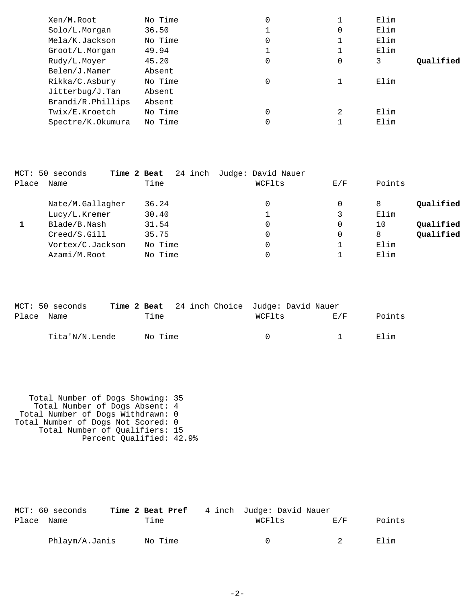| Xen/M.Root        | No Time | 0 |   | Elim |           |
|-------------------|---------|---|---|------|-----------|
| Solo/L.Morgan     | 36.50   |   | 0 | Elim |           |
| Mela/K.Jackson    | No Time | 0 |   | Elim |           |
| Groot/L.Morgan    | 49.94   |   |   | Elim |           |
| Rudy/L.Moyer      | 45.20   | 0 | 0 | 3    | Oualified |
| Belen/J.Mamer     | Absent  |   |   |      |           |
| Rikka/C.Asbury    | No Time | 0 |   | Elim |           |
| Jitterbug/J.Tan   | Absent  |   |   |      |           |
| Brandi/R.Phillips | Absent  |   |   |      |           |
| Twix/E.Kroetch    | No Time | 0 | 2 | Elim |           |
| Spectre/K.Okumura | No Time | 0 |   | Elim |           |

|       | MCT: 50 seconds  | Time 2 Beat | 24 inch Judge: David Nauer |     |                 |
|-------|------------------|-------------|----------------------------|-----|-----------------|
| Place | Name             | Time        | WCFlts                     | E/F | Points          |
|       | Nate/M.Gallagher | 36.24       | 0                          | 0   | Qualified<br>8  |
|       | Lucy/L.Kremer    | 30.40       |                            | 3   | Elim            |
|       | Blade/B.Nash     | 31.54       | 0                          | 0   | Qualified<br>10 |
|       | Creed/S.Gill     | 35.75       | 0                          | 0   | Qualified<br>8  |
|       | Vortex/C.Jackson | No Time     | 0                          |     | Elim            |
|       | Azami/M.Root     | No Time     | 0                          |     | Elim            |

|            | MCT: 50 seconds |         | <b>Time 2 Beat</b> 24 inch Choice Judge: David Nauer |        |        |        |
|------------|-----------------|---------|------------------------------------------------------|--------|--------|--------|
| Place Name |                 | Time    |                                                      | WCFlts | F. / F | Points |
|            | Tita'N/N.Lende  | No Time |                                                      | $\cap$ |        | Flim   |

 Total Number of Dogs Showing: 35 Total Number of Dogs Absent: 4 Total Number of Dogs Withdrawn: 0 Total Number of Dogs Not Scored: 0 Total Number of Qualifiers: 15 Percent Qualified: 42.9%

|            | MCT: 60 seconds |         | <b>Time 2 Beat Pref</b> 4 inch Judge: David Nauer |       |        |
|------------|-----------------|---------|---------------------------------------------------|-------|--------|
| Place Name |                 | Time    | WCFlts                                            | E / F | Points |
|            | Phlaym/A.Janis  | No Time | $\cap$                                            |       | Elim   |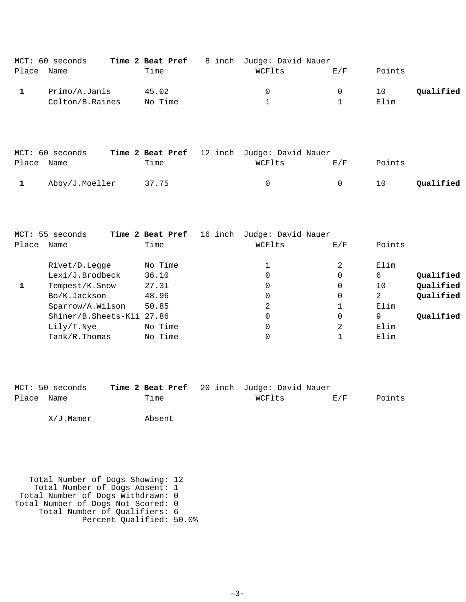|            | MCT: 60 seconds | Time 2 Beat Pref | 8 inch Judge: David Nauer |          |        |           |
|------------|-----------------|------------------|---------------------------|----------|--------|-----------|
| Place Name |                 | Time             | WCFlts                    | F/K      | Points |           |
|            | Primo/A.Janis   | 45.02            | $\left( \right)$          | $\Omega$ | 10     | Qualified |
|            | Colton/B.Raines | No Time          |                           |          | Elim   |           |

|            | MCT: 60 seconds | Time 2 Beat Pref 12 inch Judge: David Nauer |          |        |                 |
|------------|-----------------|---------------------------------------------|----------|--------|-----------------|
| Place Name |                 | Time                                        | WCFlts   | E/F    | Points          |
|            | Abby/J.Moeller  | 37.75                                       | $\Omega$ | $\cap$ | Qualified<br>10 |

|       | MCT: 55 seconds           | Time 2 Beat Pref<br>16 inch | Judge: David Nauer |     |                 |
|-------|---------------------------|-----------------------------|--------------------|-----|-----------------|
| Place | Name                      | Time                        | WCFlts             | E/F | Points          |
|       | Rivet/D.Legge             | No Time                     |                    | 2   | Elim            |
|       | Lexi/J.Brodbeck           | 36.10                       | 0                  | 0   | Qualified<br>6  |
|       | Tempest/K.Snow            | 27.31                       | 0                  | 0   | Qualified<br>10 |
|       | Bo/K.Jackson              | 48.96                       | 0                  | 0   | Qualified<br>2  |
|       | Sparrow/A.Wilson          | 50.85                       | 2                  |     | Elim            |
|       | Shiner/B.Sheets-Kli 27.86 |                             | 0                  | 0   | Oualified<br>9  |
|       | Lily/T.Nye                | No Time                     | 0                  | 2   | Elim            |
|       | $Tank/R$ . Thomas         | No Time                     | 0                  |     | Elim            |

|            | MCT: 50 seconds | Time 2 Beat Pref 20 inch Judge: David Nauer |        |     |        |
|------------|-----------------|---------------------------------------------|--------|-----|--------|
| Place Name |                 | Time                                        | WCFlts | E/F | Points |

X/J.Mamer Absent

 Total Number of Dogs Showing: 12 Total Number of Dogs Absent: 1 Total Number of Dogs Withdrawn: 0 Total Number of Dogs Not Scored: 0 Total Number of Qualifiers: 6 Percent Qualified: 50.0%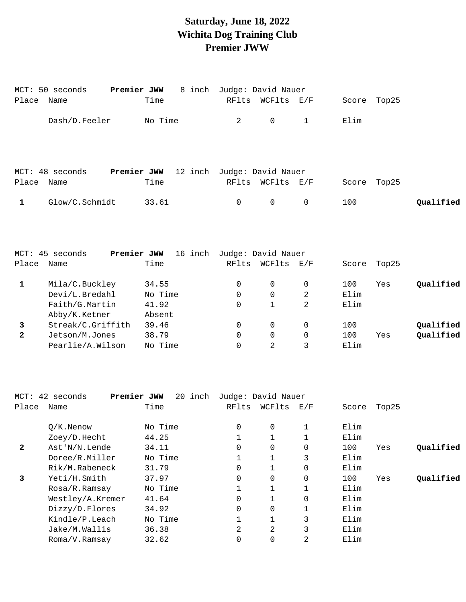# **Saturday, June 18, 2022 Wichita Dog Training Club Premier JWW**

|              | Premier JWW<br>MCT: 50 seconds | 8 inch                     |              | Judge: David Nauer |                   |             |       |           |
|--------------|--------------------------------|----------------------------|--------------|--------------------|-------------------|-------------|-------|-----------|
| Place        | Name                           | Time                       | RFlts        | WCFlts             | $\rm E$ / $\rm F$ | Score Top25 |       |           |
|              | Dash/D.Feeler                  | No Time                    | 2            | $\Omega$           | $\mathbf{1}$      | Elim        |       |           |
|              |                                |                            |              |                    |                   |             |       |           |
|              | Premier JWW<br>MCT: 48 seconds | 12 inch                    |              | Judge: David Nauer |                   |             |       |           |
| Place        | Name                           | Time                       | RFlts        | WCFlts             | $\rm E$ / $\rm F$ | Score       | Top25 |           |
| $\mathbf{1}$ | Glow/C.Schmidt                 | 33.61                      | $\mathsf{O}$ | $\mathsf{O}$       | 0                 | 100         |       | Qualified |
|              |                                |                            |              |                    |                   |             |       |           |
|              |                                |                            |              |                    |                   |             |       |           |
|              | Premier JWW<br>MCT: 45 seconds | 16 inch Judge: David Nauer |              |                    |                   |             |       |           |
| Place        | Name                           | Time                       | RFlts        | WCFlts             | $\rm E$ / $\rm F$ | Score Top25 |       |           |
| $\mathbf{1}$ | Mila/C.Buckley                 | 34.55                      | 0            | $\mathbf 0$        | $\mathbf 0$       | 100         | Yes   | Qualified |
|              | Devi/L.Bredahl                 | No Time                    | $\Omega$     | $\Omega$           | 2                 | Elim        |       |           |
|              | Faith/G.Martin                 | 41.92                      | $\Omega$     | $\mathbf{1}$       | 2                 | Elim        |       |           |
|              | Abby/K.Ketner                  | Absent                     |              |                    |                   |             |       |           |
| 3            | Streak/C.Griffith              | 39.46                      | 0            | $\mathbf 0$        | $\mathbf 0$       | 100         |       | Qualified |
| $\mathbf{2}$ | Jetson/M.Jones                 | 38.79                      | 0            | $\mathbf 0$        | 0                 | 100         | Yes   | Qualified |
|              | Pearlie/A.Wilson               | No Time                    | $\Omega$     | 2                  | 3                 | Elim        |       |           |
|              |                                |                            |              |                    |                   |             |       |           |

|              | $MCT: 42$ seconds | Premier JWW<br>20 inch | Judge: David Nauer |          |                   |       |       |           |
|--------------|-------------------|------------------------|--------------------|----------|-------------------|-------|-------|-----------|
| Place        | Name              | Time                   | RFlts              | WCFlts   | $\rm E$ / $\rm F$ | Score | Top25 |           |
|              | $O/K$ . Nenow     | No Time                | 0                  | 0        |                   | Elim  |       |           |
|              | Zoey/D.Hecht      | 44.25                  |                    |          |                   | Elim  |       |           |
| $\mathbf{2}$ | Ast'N/N.Lende     | 34.11                  | 0                  | 0        | 0                 | 100   | Yes   | Qualified |
|              | Doree/R.Miller    | No Time                |                    |          | 3                 | Elim  |       |           |
|              | Rik/M.Rabeneck    | 31.79                  | 0                  |          | 0                 | Elim  |       |           |
| 3            | Yeti/H.Smith      | 37.97                  | $\Omega$           | 0        | $\Omega$          | 100   | Yes   | Qualified |
|              | Rosa/R.Ramsay     | No Time                |                    |          |                   | Elim  |       |           |
|              | Westley/A.Kremer  | 41.64                  | 0                  |          | $\Omega$          | Elim  |       |           |
|              | Dizzy/D.Flores    | 34.92                  | 0                  | $\Omega$ |                   | Elim  |       |           |
|              | Kindle/P.Leach    | No Time                |                    |          | 3                 | Elim  |       |           |
|              | Jake/M.Wallis     | 36.38                  | 2                  | 2        | 3                 | Elim  |       |           |
|              | Roma/V.Ramsay     | 32.62                  |                    | 0        | 2                 | Elim  |       |           |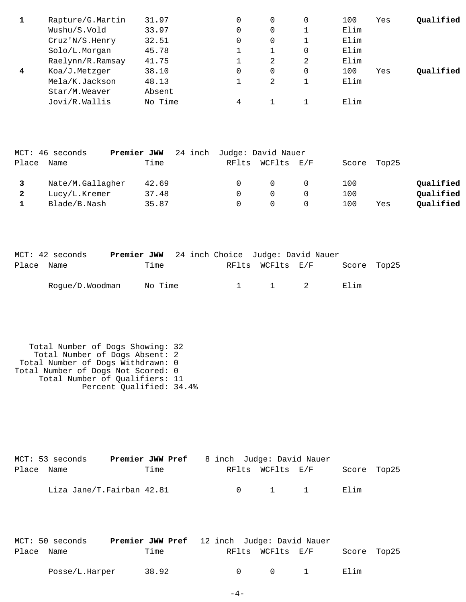|                | Rapture/G.Martin | 31.97   |   | 0        | 100  | Yes | Qualified |
|----------------|------------------|---------|---|----------|------|-----|-----------|
|                | Wushu/S.Vold     | 33.97   |   |          | Elim |     |           |
|                | Cruz' N/S.Henry  | 32.51   |   |          | Elim |     |           |
|                | Solo/L.Morgan    | 45.78   |   | $\Omega$ | Elim |     |           |
|                | Raelynn/R.Ramsay | 41.75   |   | 2        | Elim |     |           |
| $\overline{4}$ | Koa/J.Metzger    | 38.10   |   | $\Omega$ | 100  | Yes | Oualified |
|                | Mela/K.Jackson   | 48.13   |   |          | Elim |     |           |
|                | Star/M.Weaver    | Absent  |   |          |      |     |           |
|                | Jovi/R.Wallis    | No Time | 4 |          | Elim |     |           |

|              | MCT: 46 seconds  | Premier JWW | 24 inch Judge: David Nauer |                  |             |     |           |
|--------------|------------------|-------------|----------------------------|------------------|-------------|-----|-----------|
| Place        | Name             | Time        |                            | RFlts WCFlts E/F | Score Top25 |     |           |
|              | Nate/M.Gallagher | 42.69       | $\cup$                     | $^{\circ}$       | 100         |     | Qualified |
| $\mathbf{2}$ | Lucy/L.Kremer    | 37.48       |                            |                  | 100         |     | Qualified |
|              | Blade/B.Nash     | 35.87       |                            |                  | 100         | Yes | Qualified |

|            | MCT: 42 seconds |         | <b>Premier JWW</b> 24 inch Choice Judge: David Nauer |                     |             |  |
|------------|-----------------|---------|------------------------------------------------------|---------------------|-------------|--|
| Place Name |                 | Time    |                                                      | RFlts WCFlts E/F    | Score Top25 |  |
|            | Roque/D.Woodman | No Time |                                                      | $1 \quad 1 \quad 2$ | F. lim      |  |

| Total Number of Dogs Showing: 32   |  |
|------------------------------------|--|
| Total Number of Dogs Absent: 2     |  |
| Total Number of Dogs Withdrawn: 0  |  |
| Total Number of Dogs Not Scored: 0 |  |
| Total Number of Qualifiers: 11     |  |
| Percent Qualified: 34.4%           |  |

|            | MCT: 53 seconds           | <b>Premier JWW Pref</b> 8 inch Judge: David Nauer |  |                                             |                  |             |  |
|------------|---------------------------|---------------------------------------------------|--|---------------------------------------------|------------------|-------------|--|
| Place Name |                           | Time                                              |  |                                             | RFlts WCFlts E/F | Score Top25 |  |
|            | Liza Jane/T.Fairban 42.81 |                                                   |  | $\begin{array}{cccc} 0 & 1 & 1 \end{array}$ |                  | Elim        |  |

|            | MCT: 50 seconds | <b>Premier JWW Pref</b> 12 inch Judge: David Nauer |        |                  |          |             |  |
|------------|-----------------|----------------------------------------------------|--------|------------------|----------|-------------|--|
| Place Name |                 | Time                                               |        | RFlts WCFlts E/F |          | Score Top25 |  |
|            | Posse/L.Harper  | 38.92                                              | $\cap$ | $\cap$           | $\sim$ 1 | Elim        |  |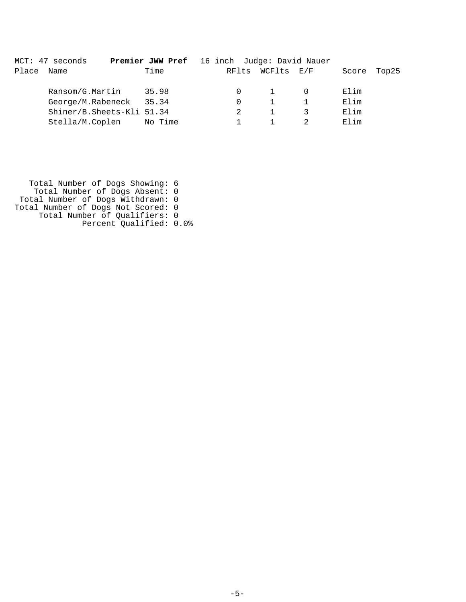|       | MCT: 47 seconds           | Premier JWW Pref 16 inch Judge: David Nauer |          |            |       |       |
|-------|---------------------------|---------------------------------------------|----------|------------|-------|-------|
| Place | Name                      | Time                                        | RFlts    | WCFlts E/F | Score | Top25 |
|       | Ransom/G.Martin           | 35.98                                       |          |            | Elim  |       |
|       | George/M.Rabeneck         | 35.34                                       | $\Omega$ |            | Elim  |       |
|       | Shiner/B.Sheets-Kli 51.34 |                                             |          |            | Elim  |       |
|       | Stella/M.Coplen           | No Time                                     |          |            | Elim  |       |

 Total Number of Dogs Showing: 6 Total Number of Dogs Absent: 0 Total Number of Dogs Withdrawn: 0 Total Number of Dogs Not Scored: 0 Total Number of Qualifiers: 0 Percent Qualified: 0.0%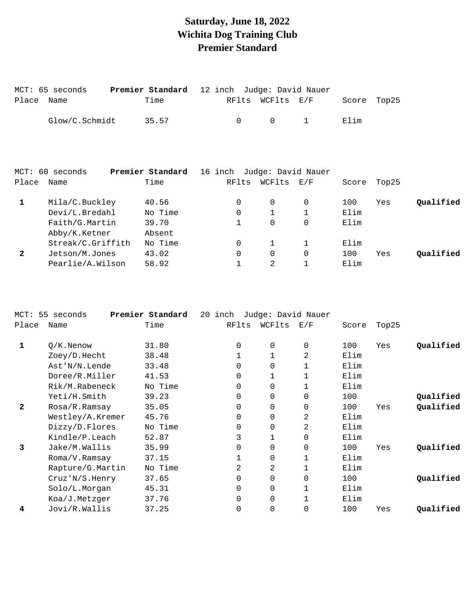## **Saturday, June 18, 2022 Wichita Dog Training Club Premier Standard**

|            | MCT: 65 seconds | <b>Premier Standard</b> 12 inch Judge: David Nauer |        |        |                  |             |  |
|------------|-----------------|----------------------------------------------------|--------|--------|------------------|-------------|--|
| Place Name |                 | Time                                               |        |        | RFlts WCFlts E/F | Score Top25 |  |
|            | Glow/C.Schmidt  | 35.57                                              | $\cap$ | $\cap$ | $\sim$ 1         | Elim        |  |

| Name              | Time            |                  | RFlts    | WCFlts  | $\mathop{\rm E{}}\nolimits$ / $\mathop{\rm F{}}\nolimits$ | Score              | Top25 |           |
|-------------------|-----------------|------------------|----------|---------|-----------------------------------------------------------|--------------------|-------|-----------|
| Mila/C.Buckley    | 40.56           |                  | 0        | 0       |                                                           | 100                | Yes   | Qualified |
| Devi/L.Bredahl    | No Time         |                  | 0        |         |                                                           | Elim               |       |           |
| Faith/G.Martin    | 39.70           |                  |          | 0       |                                                           | Elim               |       |           |
| Abby/K.Ketner     | Absent          |                  |          |         |                                                           |                    |       |           |
| Streak/C.Griffith | No Time         |                  | 0        |         |                                                           | Elim               |       |           |
| Jetson/M.Jones    | 43.02           |                  | $\Omega$ | 0       | $\Omega$                                                  | 100                | Yes   | Oualified |
| Pearlie/A.Wilson  | 58.92           |                  |          | 2       |                                                           | Elim               |       |           |
|                   | MCT: 60 seconds | Premier Standard |          | 16 inch |                                                           | Judge: David Nauer |       |           |

|                  |            |                  | inch     |          |                |                    |       |           |
|------------------|------------|------------------|----------|----------|----------------|--------------------|-------|-----------|
| Name             | Time       |                  | RFlts    | WCFlts   | E/F            | Score              | Top25 |           |
| $O/K$ . Nenow    | 31.80      |                  | $\Omega$ | 0        | 0              | 100                | Yes   | Qualified |
| Zoey/D.Hecht     | 38.48      |                  |          |          | 2              | Elim               |       |           |
| Ast'N/N.Lende    | 33.48      |                  | $\Omega$ | 0        |                | Elim               |       |           |
| Doree/R.Miller   | 41.53      |                  | 0        |          |                | Elim               |       |           |
| Rik/M.Rabeneck   | No Time    |                  | $\Omega$ | $\Omega$ |                | Elim               |       |           |
| Yeti/H.Smith     | 39.23      |                  | $\Omega$ | 0        | $\Omega$       | 100                |       | Qualified |
| Rosa/R.Ramsay    | 35.05      |                  | 0        | 0        | 0              | 100                | Yes   | Qualified |
| Westley/A.Kremer | 45.76      |                  | $\Omega$ | 0        | $\overline{2}$ | Elim               |       |           |
| Dizzy/D.Flores   | No Time    |                  | $\Omega$ | $\Omega$ | $\overline{2}$ | Elim               |       |           |
| Kindle/P.Leach   | 52.87      |                  | 3        |          | 0              | Elim               |       |           |
| Jake/M.Wallis    | 35.99      |                  | 0        | $\Omega$ | 0              | 100                | Yes   | Qualified |
| Roma/V.Ramsay    | 37.15      |                  |          | $\Omega$ |                | Elim               |       |           |
| Rapture/G.Martin | No Time    |                  | 2        | 2        |                | Elim               |       |           |
| Cruz'N/S.Henry   | 37.65      |                  | $\Omega$ | $\Omega$ | 0              | 100                |       | Qualified |
| Solo/L.Morgan    | 45.31      |                  | 0        | 0        |                | Elim               |       |           |
| Koa/J.Metzger    | 37.76      |                  | $\Omega$ | $\Omega$ |                | Elim               |       |           |
| Jovi/R.Wallis    | 37.25      |                  | 0        | $\Omega$ | 0              | 100                | Yes   | Qualified |
|                  | 55 seconds | Premier Standard |          | 20       |                | Judge: David Nauer |       |           |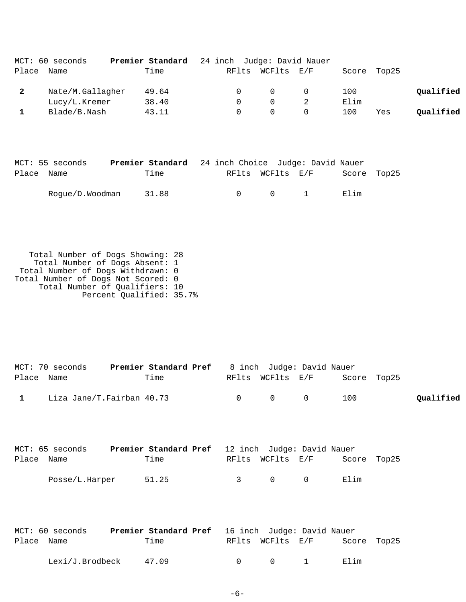|       | MCT: 60 seconds  | Premier Standard | 24 inch Judge: David Nauer |          |          |       |       |           |
|-------|------------------|------------------|----------------------------|----------|----------|-------|-------|-----------|
| Place | Name             | Time             | RFlts                      | WCFlts   | E/F      | Score | Top25 |           |
| -2    | Nate/M.Gallagher | 49.64            |                            | $\Omega$ | $\Omega$ | 100   |       | Qualified |
|       | Lucy/L.Kremer    | 38.40            | $^{\circ}$                 | $\cap$   |          | Elim  |       |           |
|       | Blade/B.Nash     | 43.11            |                            |          |          | 100   | Yes   | Oualified |

|            | MCT: 55 seconds       | <b>Premier Standard</b> 24 inch Choice Judge: David Nauer |  |                       |             |  |
|------------|-----------------------|-----------------------------------------------------------|--|-----------------------|-------------|--|
| Place Name |                       | Time                                                      |  | RFlts WCFlts E/F      | Score Top25 |  |
|            | Roque/D.Woodman 31.88 |                                                           |  | $0 \qquad 0 \qquad 1$ | Filim       |  |

 Total Number of Dogs Showing: 28 Total Number of Dogs Absent: 1 Total Number of Dogs Withdrawn: 0 Total Number of Dogs Not Scored: 0 Total Number of Qualifiers: 10 Percent Qualified: 35.7%

|              | MCT: 70 seconds           | <b>Premier Standard Pref</b> 8 inch Judge: David Nauer |                                         |                              |     |           |
|--------------|---------------------------|--------------------------------------------------------|-----------------------------------------|------------------------------|-----|-----------|
| Place Name   |                           | Time                                                   |                                         | RFlts WCFlts E/F Score Top25 |     |           |
| $\mathbf{1}$ | Liza Jane/T.Fairban 40.73 |                                                        | $\begin{matrix} 0 & 0 & 0 \end{matrix}$ |                              | 100 | Qualified |

|            | MCT: 65 seconds | <b>Premier Standard Pref</b> 12 inch Judge: David Nauer |               |                  |           |             |  |
|------------|-----------------|---------------------------------------------------------|---------------|------------------|-----------|-------------|--|
| Place Name |                 | Time                                                    |               | RFlts WCFlts E/F |           | Score Top25 |  |
|            | Posse/L.Harper  | 51.25                                                   | $\mathcal{R}$ | $\cap$           | $\bigcap$ | Elim        |  |

|            | MCT: 60 seconds         | <b>Premier Standard Pref</b> 16 inch Judge: David Nauer |                  |                                    |             |  |
|------------|-------------------------|---------------------------------------------------------|------------------|------------------------------------|-------------|--|
| Place Name |                         | Time                                                    | RFlts WCFlts E/F |                                    | Score Top25 |  |
|            | $Lexi/J.Brodbeck$ 47.09 |                                                         | $\Omega$ 0       | $\sim$ $\sim$ $\sim$ $\sim$ $\sim$ | Elim        |  |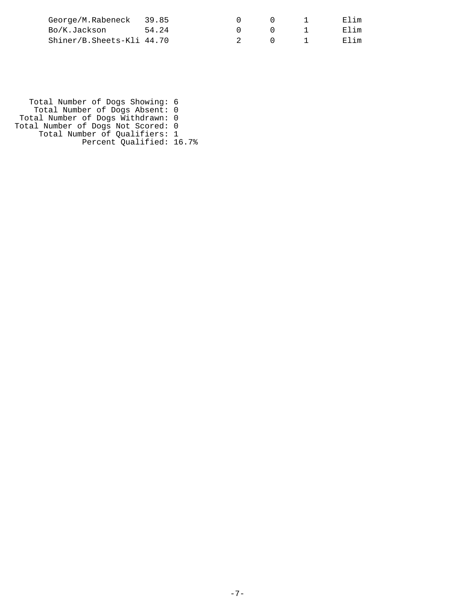| George/M.Rabeneck 39.85   |  |  | Elim |
|---------------------------|--|--|------|
| Bo/K.Jackson 54.24        |  |  | Elim |
| Shiner/B.Sheets-Kli 44.70 |  |  | Elim |

 Total Number of Dogs Showing: 6 Total Number of Dogs Absent: 0 Total Number of Dogs Withdrawn: 0 Total Number of Dogs Not Scored: 0 Total Number of Qualifiers: 1 Percent Qualified: 16.7%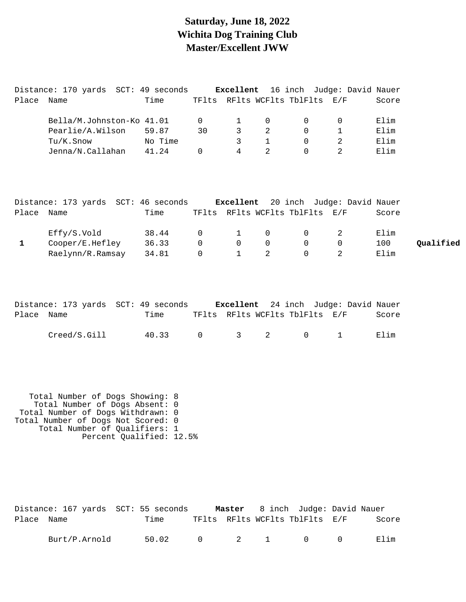### **Saturday, June 18, 2022 Wichita Dog Training Club Master/Excellent JWW**

|       | Distance: 170 yards SCT: 49 seconds |         |       |               |          |                          | <b>Excellent</b> 16 inch Judge: David Nauer |       |
|-------|-------------------------------------|---------|-------|---------------|----------|--------------------------|---------------------------------------------|-------|
| Place | Name                                | Time    | TFlts |               |          | RFlts WCFlts TblFlts E/F |                                             | Score |
|       |                                     |         |       |               |          |                          |                                             |       |
|       | Bella/M.Johnston-Ko 41.01           |         |       | $\mathbf{1}$  | $\Omega$ |                          |                                             | Elim  |
|       | Pearlie/A.Wilson                    | 59.87   | 30    | $\mathcal{R}$ | 2        |                          |                                             | Elim  |
|       | Tu/K.Snow                           | No Time |       | २             |          |                          |                                             | Elim  |
|       | Jenna/N.Callahan                    | 41.24   |       | 4             |          |                          |                                             | Elim  |

|            | Distance: 173 yards SCT: 46 seconds |       |          |                             |          |                                | <b>Excellent</b> 20 inch Judge: David Nauer |       |           |
|------------|-------------------------------------|-------|----------|-----------------------------|----------|--------------------------------|---------------------------------------------|-------|-----------|
| Place Name |                                     | Time  |          |                             |          | TFlts RFlts WCFlts TblFlts E/F |                                             | Score |           |
|            | Effy/S.Vold                         | 38.44 | $\Omega$ | $\sim$ $\sim$ $\sim$ $\sim$ | $\Omega$ | $\bigcap$                      |                                             | Elim  |           |
|            | Cooper/E.Hefley                     | 36.33 | $\Omega$ | $\overline{0}$              |          | $\Omega$                       |                                             | 100   | Qualified |
|            | Raelynn/R.Ramsay                    | 34.81 | $\Omega$ |                             |          | $\Omega$                       |                                             | Elim  |           |

|            |              | Distance: 173 yards SCT: 49 seconds |                                |  | <b>Excellent</b> 24 inch Judge: David Nauer |       |
|------------|--------------|-------------------------------------|--------------------------------|--|---------------------------------------------|-------|
| Place Name |              | Time                                | TFlts RFlts WCFlts TblFlts E/F |  |                                             | Score |
|            | Creed/S.Gill |                                     | 40.33 0 3 2 0 1                |  |                                             | Elim  |

 Total Number of Dogs Showing: 8 Total Number of Dogs Absent: 0 Total Number of Dogs Withdrawn: 0 Total Number of Dogs Not Scored: 0 Total Number of Qualifiers: 1 Percent Qualified: 12.5%

|            | Distance: 167 yards SCT: 55 seconds |       |  | <b>Master</b> 8 inch Judge: David Nauer |       |
|------------|-------------------------------------|-------|--|-----------------------------------------|-------|
| Place Name |                                     | Time  |  | TFlts RFlts WCFlts TblFlts E/F          | Score |
|            | Burt/P.Arnold                       | 50.02 |  | $0 \qquad 2 \qquad 1 \qquad 0 \qquad 0$ | Elim  |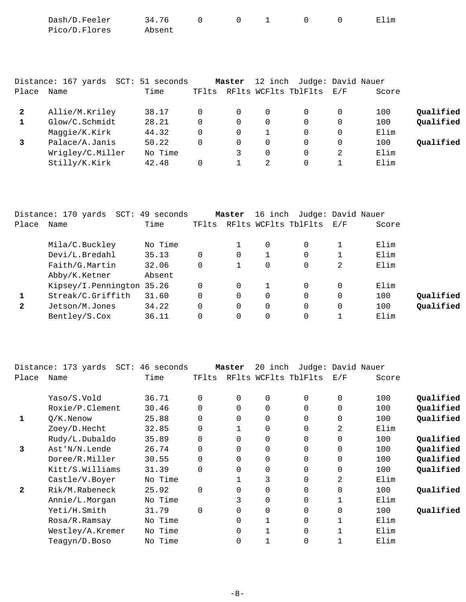| Dash/D.Feeler | 34.76  |  |  | Elim |
|---------------|--------|--|--|------|
| Pico/D.Flores | Absent |  |  |      |

|       | Distance: 167 yards<br>SCT: | 51 seconds |       | Master | 12 inch     | Judge: David Nauer   |          |       |           |
|-------|-----------------------------|------------|-------|--------|-------------|----------------------|----------|-------|-----------|
| Place | Name                        | Time       | TFlts |        |             | RFlts WCFlts TblFlts | E/F      | Score |           |
| 2     | Allie/M.Kriley              | 38.17      | 0     | 0      | 0           |                      | $\Omega$ | 100   | Qualified |
|       | Glow/C.Schmidt              | 28.21      | 0     | 0      | $\mathbf 0$ | 0                    | $\Omega$ | 100   | Qualified |
|       | Maggie/K.Kirk               | 44.32      | 0     | 0      |             | 0                    | 0        | Elim  |           |
|       | Palace/A.Janis              | 50.22      | 0     | 0      | $\Omega$    | 0                    | $\Omega$ | 100   | Qualified |
|       | Wrigley/C.Miller            | No Time    |       |        | $\Omega$    |                      | 2        | Elim  |           |
|       | Stilly/K.Kirk               | 42.48      | 0     |        | 2           |                      |          | Elim  |           |

|              | Distance: 170 yards       | SCT: 49 seconds |          | Master | 16 inch  |                      | Judge: David Nauer |       |           |
|--------------|---------------------------|-----------------|----------|--------|----------|----------------------|--------------------|-------|-----------|
| Place        | Name                      | Time            | TFlts    |        |          | RFlts WCFlts TblFlts | E/F                | Score |           |
|              | Mila/C.Buckley            | No Time         |          |        | $\Omega$ | 0                    |                    | Elim  |           |
|              | Devi/L.Bredahl            | 35.13           | $\Omega$ | 0      |          | 0                    |                    | Elim  |           |
|              | Faith/G.Martin            | 32.06           | $\Omega$ |        |          | 0                    | 2                  | Elim  |           |
|              | Abby/K.Ketner             | Absent          |          |        |          |                      |                    |       |           |
|              | Kipsey/I.Pennington 35.26 |                 | $\Omega$ | 0      |          | 0                    |                    | Elim  |           |
|              | Streak/C.Griffith         | 31.60           | $\Omega$ | 0      | $\Omega$ | 0                    | $\Omega$           | 100   | Qualified |
| $\mathbf{2}$ | Jetson/M.Jones            | 34.22           | $\Omega$ | 0      |          | 0                    | $\Omega$           | 100   | Qualified |
|              | Bentley/S.Cox             | 36.11           |          |        |          | 0                    |                    | Elim  |           |

|              | Distance: 173 yards<br>SCT: | 46 seconds |             | Master         | 20<br>inch | Judge: David Nauer   |          |       |           |
|--------------|-----------------------------|------------|-------------|----------------|------------|----------------------|----------|-------|-----------|
| Place        | Name                        | Time       | TFlts       |                |            | RFlts WCFlts TblFlts | E/F      | Score |           |
|              | Yaso/S.Vold                 | 36.71      | $\Omega$    | $\mathbf 0$    | 0          | 0                    | 0        | 100   | Qualified |
|              | Roxie/P.Clement             | 30.46      | $\Omega$    | $\Omega$       | 0          | $\Omega$             | $\Omega$ | 100   | Qualified |
| 1            | $O/K$ . Nenow               | 25.88      | $\mathbf 0$ | $\mathbf 0$    | $\Omega$   | 0                    | 0        | 100   | Qualified |
|              | Zoey/D.Hecht                | 32.85      | $\Omega$    |                | $\Omega$   | $\Omega$             | 2        | Elim  |           |
|              | Rudy/L.Dubaldo              | 35.89      | $\Omega$    | $\Omega$       | 0          | $\Omega$             | $\Omega$ | 100   | Qualified |
| 3            | Ast'N/N.Lende               | 26.74      | $\Omega$    | $\Omega$       | $\Omega$   | $\Omega$             | $\Omega$ | 100   | Qualified |
|              | Doree/R.Miller              | 30.55      | $\Omega$    | 0              | 0          | $\Omega$             | $\Omega$ | 100   | Qualified |
|              | Kitt/S.Williams             | 31.39      | $\Omega$    | $\overline{0}$ | 0          | 0                    | 0        | 100   | Qualified |
|              | Castle/V.Boyer              | No Time    |             |                | 3          | $\Omega$             | 2        | Elim  |           |
| $\mathbf{2}$ | Rik/M.Rabeneck              | 25.92      | $\Omega$    | $\Omega$       | $\Omega$   | $\Omega$             | $\Omega$ | 100   | Qualified |
|              | Annie/L.Morgan              | No Time    |             | 3              | $\Omega$   | $\Omega$             |          | Elim  |           |
|              | Yeti/H.Smith                | 31.79      | $\Omega$    | $\Omega$       | 0          | $\Omega$             | $\Omega$ | 100   | Qualified |
|              | Rosa/R.Ramsay               | No Time    |             | $\Omega$       |            | 0                    |          | Elim  |           |
|              | Westley/A.Kremer            | No Time    |             | 0              |            | 0                    |          | Elim  |           |
|              | Teagyn/D.Boso               | No Time    |             | 0              |            | 0                    |          | Elim  |           |
|              |                             |            |             |                |            |                      |          |       |           |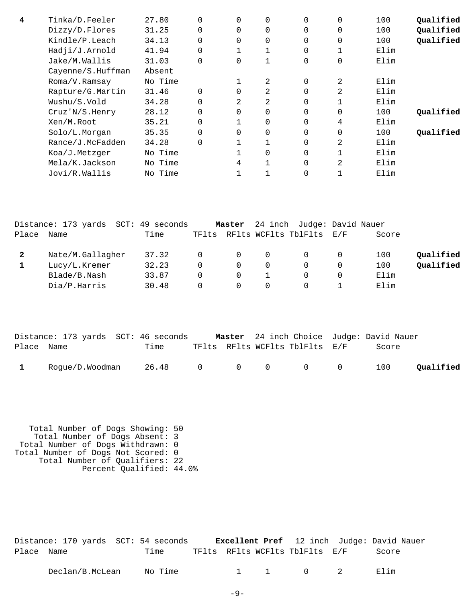| 4 | Tinka/D.Feeler    | 27.80   | $\Omega$ | $\Omega$       | $\overline{0}$ | $\Omega$ | $\Omega$ | 100  | Qualified |
|---|-------------------|---------|----------|----------------|----------------|----------|----------|------|-----------|
|   | Dizzy/D.Flores    | 31.25   | 0        | 0              | $\overline{0}$ | $\Omega$ | 0        | 100  | Qualified |
|   | Kindle/P.Leach    | 34.13   | $\Omega$ | 0              | $\overline{0}$ | $\Omega$ | 0        | 100  | Qualified |
|   | Hadji/J.Arnold    | 41.94   | $\Omega$ |                |                | $\Omega$ | 1        | Elim |           |
|   | Jake/M.Wallis     | 31.03   | 0        | 0              | 1              | $\Omega$ | 0        | Elim |           |
|   | Cayenne/S.Huffman | Absent  |          |                |                |          |          |      |           |
|   | Roma/V.Ramsay     | No Time |          |                | 2              | $\Omega$ | 2        | Elim |           |
|   | Rapture/G.Martin  | 31.46   | $\Omega$ |                | 2              | $\Omega$ | 2        | Elim |           |
|   | Wushu/S.Vold      | 34.28   | $\Omega$ | $\mathfrak{D}$ | 2              | $\Omega$ | 1        | Elim |           |
|   | Cruz'N/S.Henry    | 28.12   | $\Omega$ | $\Omega$       | $\mathbf 0$    | $\Omega$ | $\Omega$ | 100  | Oualified |
|   | Xen/M.Root        | 35.21   | $\Omega$ |                | $\overline{0}$ | $\Omega$ | 4        | Elim |           |
|   | Solo/L.Morgan     | 35.35   | $\Omega$ | $\Omega$       | $\overline{0}$ | $\Omega$ | 0        | 100  | Qualified |
|   | Rance/J.McFadden  | 34.28   | $\Omega$ |                |                | $\Omega$ | 2        | Elim |           |
|   | Koa/J.Metzger     | No Time |          |                | $\overline{0}$ | 0        | 1        | Elim |           |
|   | Mela/K.Jackson    | No Time |          | 4              |                | $\Omega$ | 2        | Elim |           |
|   | Jovi/R.Wallis     | No Time |          |                |                | 0        |          | Elim |           |

|       | Distance: 173 yards SCT: 49 seconds |       | Master   | 24 inch Judge: David Nauer     |       |           |
|-------|-------------------------------------|-------|----------|--------------------------------|-------|-----------|
| Place | Name                                | Time  |          | TFlts RFlts WCFlts TblFlts E/F | Score |           |
|       | Nate/M.Gallagher                    | 37.32 | $\Omega$ |                                | 100   | Qualified |
|       | Lucy/L.Kremer                       | 32.23 | $\Omega$ |                                | 100   | Qualified |
|       | Blade/B.Nash                        | 33.87 | $\Omega$ |                                | Elim  |           |
|       | Dia/P.Harris                        | 30.48 | $\Omega$ |                                | Elim  |           |

|            |                 | Distance: 173 yards SCT: 46 seconds |  |                                | <b>Master</b> 24 inch Choice Judge: David Nauer |           |
|------------|-----------------|-------------------------------------|--|--------------------------------|-------------------------------------------------|-----------|
| Place Name |                 | Time                                |  | TFlts RFlts WCFlts TblFlts E/F | Score                                           |           |
|            | Rogue/D.Woodman | 26.48 0 0 0 0 0                     |  |                                | 100                                             | Qualified |

 Total Number of Dogs Showing: 50 Total Number of Dogs Absent: 3 Total Number of Dogs Withdrawn: 0 Total Number of Dogs Not Scored: 0 Total Number of Qualifiers: 22 Percent Qualified: 44.0%

|            |  | Distance: 170 yards SCT: 54 seconds |  |                                | <b>Excellent Pref</b> 12 inch Judge: David Nauer |
|------------|--|-------------------------------------|--|--------------------------------|--------------------------------------------------|
| Place Name |  | Time                                |  | TFlts RFlts WCFlts TblFlts E/F | Score                                            |
|            |  |                                     |  |                                |                                                  |

| Nc<br>/B.McLean<br>Declan/<br>'ıme |  |  |  | E⊥ım |
|------------------------------------|--|--|--|------|
|------------------------------------|--|--|--|------|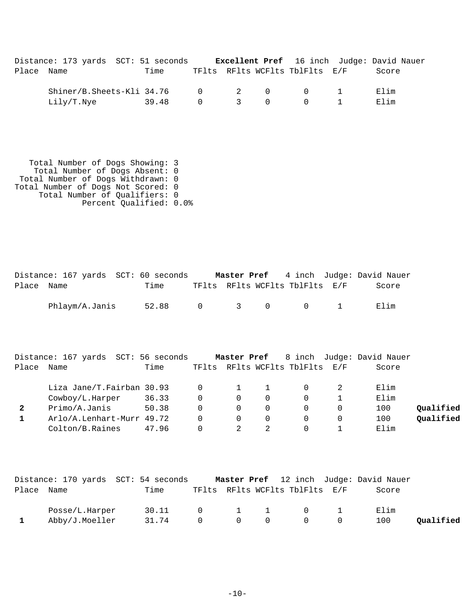|            | Distance: 173 yards SCT: 51 seconds |       |                |  |                                | <b>Excellent Pref</b> 16 inch Judge: David Nauer |
|------------|-------------------------------------|-------|----------------|--|--------------------------------|--------------------------------------------------|
| Place Name |                                     | Time  |                |  | TFlts RFlts WCFlts TblFlts E/F | Score                                            |
|            | Shiner/B.Sheets-Kli 34.76 0 2 0 0 1 |       |                |  |                                | Elim                                             |
|            | Lilv/T.Nve                          | 39.48 | $\overline{0}$ |  | 3 0 0 1                        | Flim                                             |

 Total Number of Dogs Showing: 3 Total Number of Dogs Absent: 0 Total Number of Dogs Withdrawn: 0 Total Number of Dogs Not Scored: 0 Total Number of Qualifiers: 0 Percent Qualified: 0.0%

|            | Distance: 167 yards SCT: 60 seconds |                 |  |                                | <b>Master Pref</b> 4 inch Judge: David Nauer |  |
|------------|-------------------------------------|-----------------|--|--------------------------------|----------------------------------------------|--|
| Place Name |                                     | Time            |  | TFlts RFlts WCFlts TblFlts E/F | Score                                        |  |
|            | Phlaym/A.Janis                      | 52.88 0 3 0 0 1 |  |                                | Elim                                         |  |

|       | Distance: 167 yards SCT: 56 seconds |       |       |          |   |                          | <b>Master Pref</b> 8 inch Judge: David Nauer |           |
|-------|-------------------------------------|-------|-------|----------|---|--------------------------|----------------------------------------------|-----------|
| Place | Name                                | Time  | TFlts |          |   | RFlts WCFlts TblFlts E/F | Score                                        |           |
|       | Liza Jane/T.Fairban 30.93           |       |       |          |   |                          | Elim                                         |           |
|       | Cowboy/L.Harper                     | 36.33 |       | $\Omega$ | 0 | $\Omega$                 | Elim                                         |           |
|       | Primo/A.Janis                       | 50.38 |       | $\Omega$ | 0 |                          | 100                                          | Oualified |
|       | Arlo/A.Lenhart-Murr 49.72           |       |       |          | 0 |                          | 100                                          | Qualified |
|       | Colton/B.Raines                     | 47.96 |       |          |   |                          | Elim                                         |           |

|            |                | Distance: 170 yards SCT: 54 seconds |                |  |                                     | Master Pref 12 inch Judge: David Nauer |           |
|------------|----------------|-------------------------------------|----------------|--|-------------------------------------|----------------------------------------|-----------|
| Place Name |                | Time                                |                |  | TFlts RFlts WCFlts TblFlts E/F      | Score                                  |           |
|            | Posse/L.Harper | 30.11 0 1 1 0 1                     |                |  |                                     | Elim                                   |           |
|            | Abby/J.Moeller | 31.74                               | $\overline{0}$ |  | $\begin{matrix}0&0&0&0\end{matrix}$ | 100                                    | Qualified |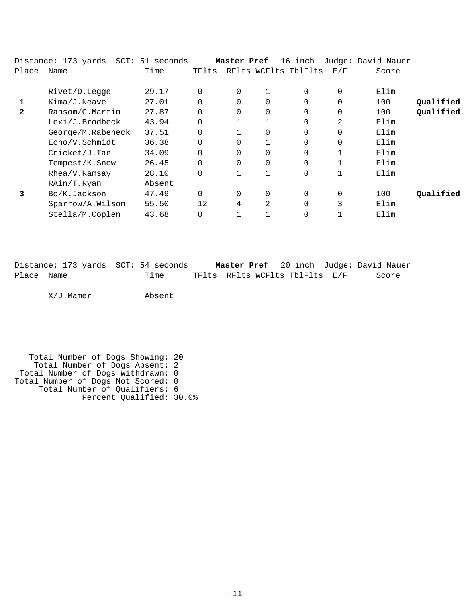|              | Distance: 173 yards SCT: 51 seconds |        |          | Master Pref |   | 16 inch              |          | Judge: David Nauer |           |
|--------------|-------------------------------------|--------|----------|-------------|---|----------------------|----------|--------------------|-----------|
| Place        | Name                                | Time   | TFlts    |             |   | RFlts WCFlts TblFlts | E/F      | Score              |           |
|              |                                     |        |          |             |   |                      |          |                    |           |
|              | Rivet/D.Legge                       | 29.17  | $\Omega$ | $\mathbf 0$ |   | 0                    | $\Omega$ | Elim               |           |
|              | Kima/J.Neave                        | 27.01  | $\Omega$ | $\Omega$    | 0 | $\Omega$             | $\Omega$ | 100                | Qualified |
| $\mathbf{2}$ | Ransom/G.Martin                     | 27.87  | $\Omega$ | $\mathbf 0$ | 0 | 0                    | 0        | 100                | Qualified |
|              | Lexi/J.Brodbeck                     | 43.94  | $\Omega$ |             |   | $\Omega$             | 2        | Elim               |           |
|              | George/M.Rabeneck                   | 37.51  | $\Omega$ |             | 0 | $\overline{0}$       | $\Omega$ | Elim               |           |
|              | Echo/V.Schmidt                      | 36.38  | $\Omega$ | $\Omega$    |   | $\Omega$             | $\Omega$ | Elim               |           |
|              | Cricket/J.Tan                       | 34.09  | $\Omega$ | $\Omega$    | 0 | $\Omega$             |          | Elim               |           |
|              | Tempest/K.Snow                      | 26.45  | 0        | $\mathbf 0$ | 0 | 0                    |          | Elim               |           |
|              | Rhea/V.Ramsay                       | 28.10  | $\Omega$ |             |   | 0                    |          | Elim               |           |
|              | RAin/T.Ryan                         | Absent |          |             |   |                      |          |                    |           |
| 3            | Bo/K.Jackson                        | 47.49  | $\Omega$ | 0           | 0 | 0                    | 0        | 100                | Oualified |
|              | Sparrow/A.Wilson                    | 55.50  | 12       | 4           | 2 | $\Omega$             | 3        | Elim               |           |
|              | Stella/M.Coplen                     | 43.68  | 0        |             |   | 0                    |          | Elim               |           |

|            | Distance: 173 yards SCT: 54 seconds |                                |  | <b>Master Pref</b> 20 inch Judge: David Nauer |
|------------|-------------------------------------|--------------------------------|--|-----------------------------------------------|
| Place Name | Time                                | TFlts RFlts WCFlts TblFlts E/F |  | Score                                         |

X/J.Mamer Absent

 Total Number of Dogs Showing: 20 Total Number of Dogs Absent: 2 Total Number of Dogs Withdrawn: 0 Total Number of Dogs Not Scored: 0 Total Number of Qualifiers: 6 Percent Qualified: 30.0%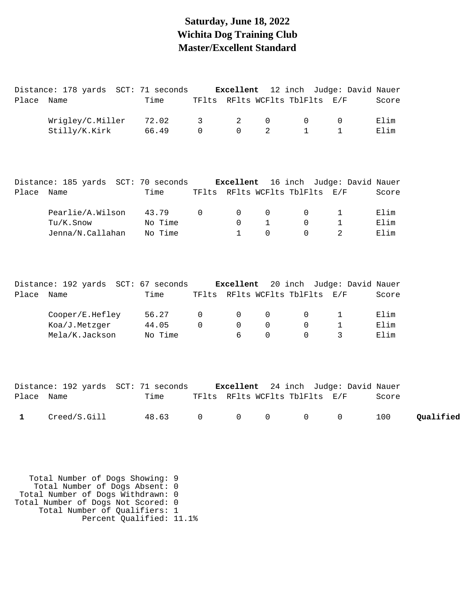## **Saturday, June 18, 2022 Wichita Dog Training Club Master/Excellent Standard**

Distance: 178 yards SCT: 71 seconds **Excellent** 12 inch Judge: David Nauer

| Place      | Name                                          | Time    |             |              |                | TFlts RFlts WCFlts TblFlts     | E/F                        | Score |
|------------|-----------------------------------------------|---------|-------------|--------------|----------------|--------------------------------|----------------------------|-------|
|            | Wrigley/C.Miller                              | 72.02   | 3           | 2            | $\mathbf 0$    | $\mathbf 0$                    | 0                          | Elim  |
|            | Stilly/K.Kirk                                 | 66.49   | $\Omega$    | $\Omega$     | $\overline{2}$ | $\mathbf{1}$                   | $\mathbf{1}$               | Elim  |
|            |                                               |         |             |              |                |                                |                            |       |
|            |                                               |         |             |              |                |                                |                            |       |
|            | Distance: 185 yards SCT: 70 seconds Excellent |         |             |              |                |                                | 16 inch Judge: David Nauer |       |
| Place Name |                                               | Time    |             |              |                | TFlts RFlts WCFlts TblFlts E/F |                            | Score |
|            | Pearlie/A.Wilson                              | 43.79   | $\mathsf 0$ | $\mathsf{O}$ | $\mathsf{O}$   | $\mathsf{O}$                   | $\mathbf{1}$               | Elim  |
|            | Tu/K.Snow                                     | No Time |             | $\Omega$     | $\mathbf{1}$   | $\Omega$                       | $\mathbf 1$                | Elim  |
|            | Jenna/N.Callahan                              | No Time |             | $\mathbf{1}$ | $\Omega$       | $\Omega$                       | 2                          | Elim  |
|            |                                               |         |             |              |                |                                |                            |       |
|            |                                               |         |             |              |                |                                |                            |       |
|            | Distance: 192 yards SCT: 67 seconds Excellent |         |             |              |                |                                | 20 inch Judge: David Nauer |       |
| Place Name |                                               | Time    |             |              |                | TFlts RFlts WCFlts TblFlts E/F |                            | Score |
|            |                                               |         |             |              |                |                                |                            |       |
|            | Cooper/E.Hefley                               | 56.27   | 0           | 0            | 0              | $\mathsf{O}$                   | $\mathbf 1$                | Elim  |
|            | Koa/J.Metzger                                 | 44.05   | $\Omega$    | $\Omega$     | $\mathsf{O}$   | $\Omega$                       | $\mathbf 1$                | Elim  |
|            | Mela/K.Jackson                                | No Time |             | б.           | $\Omega$       | $\Omega$                       | 3                          | Elim  |
|            |                                               |         |             |              |                |                                |                            |       |
|            |                                               |         |             |              |                |                                |                            |       |
|            | Distance: 192 yards SCT: 71 seconds Excellent |         |             |              |                |                                | 24 inch Judge: David Nauer |       |
| Place      | Name                                          | Time    |             |              |                | TFlts RFlts WCFlts TblFlts E/F |                            | Score |
|            |                                               |         |             |              |                |                                |                            |       |

1 Creed/S.Gill 48.63 0 0 0 0 0 100 **Qualified** 

 Total Number of Dogs Showing: 9 Total Number of Dogs Absent: 0 Total Number of Dogs Withdrawn: 0 Total Number of Dogs Not Scored: 0 Total Number of Qualifiers: 1 Percent Qualified: 11.1%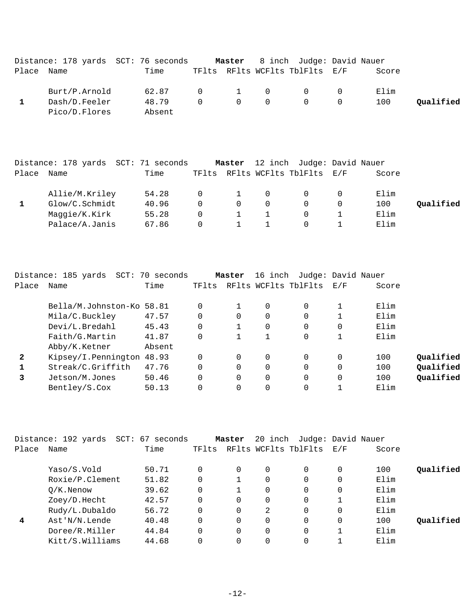|            |               | Distance: 178 yards SCT: 76 seconds |  |                                         | <b>Master</b> 8 inch Judge: David Nauer |                |       |           |
|------------|---------------|-------------------------------------|--|-----------------------------------------|-----------------------------------------|----------------|-------|-----------|
| Place Name |               | Time                                |  |                                         | TFlts RFlts WCFlts TblFlts E/F          |                | Score |           |
|            | Burt/P.Arnold | 62.87                               |  |                                         | $0 \qquad 1 \qquad 0 \qquad 0$          |                | Elim  |           |
|            | Dash/D.Feeler | 48.79                               |  | $\begin{matrix} 0 & 0 & 0 \end{matrix}$ | $\overline{0}$                          | $\overline{0}$ | 100   | Qualified |
|            | Pico/D.Flores | Absent                              |  |                                         |                                         |                |       |           |

|       | Distance: 178 yards SCT: 71 seconds |       |          | Master   |          | 12 inch Judge: David Nauer     |       |           |
|-------|-------------------------------------|-------|----------|----------|----------|--------------------------------|-------|-----------|
| Place | Name                                | Time  |          |          |          | TFlts RFlts WCFlts TblFlts E/F | Score |           |
|       | Allie/M.Kriley                      | 54.28 | $\Omega$ | $\sim$ 1 | $\Omega$ | $\Omega$                       | Elim  |           |
|       | Glow/C.Schmidt                      | 40.96 | $\Omega$ | $\Omega$ | $\Omega$ | $\Omega$                       | 100   | Qualified |
|       | Maggie/K.Kirk                       | 55.28 | $\Omega$ |          |          | $\Omega$                       | Elim  |           |
|       | Palace/A.Janis                      | 67.86 |          |          |          |                                | Elim  |           |

|              | Distance: 185 yards SCT: 70 seconds |        |          | Master   | 16 inch |                      | Judge: David Nauer |       |           |
|--------------|-------------------------------------|--------|----------|----------|---------|----------------------|--------------------|-------|-----------|
| Place        | Name                                | Time   | TFlts    |          |         | RFlts WCFlts TblFlts | E/F                | Score |           |
|              | Bella/M.Johnston-Ko 58.81           |        | $\Omega$ |          | 0       | $\Omega$             |                    | Elim  |           |
|              | Mila/C.Buckley                      | 47.57  | 0        |          | 0       | 0                    |                    | Elim  |           |
|              | Devi/L.Bredahl                      | 45.43  | $\Omega$ |          | 0       | $\Omega$             | $\Omega$           | Elim  |           |
|              | Faith/G.Martin                      | 41.87  | 0        |          |         | $\Omega$             |                    | Elim  |           |
|              | Abby/K.Ketner                       | Absent |          |          |         |                      |                    |       |           |
| $\mathbf{2}$ | Kipsey/I.Pennington                 | 48.93  | $\Omega$ |          | 0       | 0                    | $\Omega$           | 100   | Qualified |
|              | Streak/C.Griffith                   | 47.76  | $\Omega$ |          | 0       | $\Omega$             | 0                  | 100   | Qualified |
|              | Jetson/M.Jones                      | 50.46  | $\Omega$ | $\Omega$ | 0       | $\Omega$             | $\Omega$           | 100   | Qualified |
|              | Bentley/S.Cox                       | 50.13  |          |          | 0       | 0                    |                    | Elim  |           |

|       | Distance: 192 yards | SCT: 67 seconds |          | Master   | 20 inch  | Judge: David Nauer   |          |       |           |
|-------|---------------------|-----------------|----------|----------|----------|----------------------|----------|-------|-----------|
| Place | Name                | Time            | TFlts    |          |          | RFlts WCFlts TblFlts | E/F      | Score |           |
|       | Yaso/S.Vold         | 50.71           | $\Omega$ | 0        | 0        | 0                    | 0        | 100   | Qualified |
|       | Roxie/P.Clement     | 51.82           | 0        |          | 0        | 0                    | 0        | Elim  |           |
|       | $O/K$ . Nenow       | 39.62           | 0        |          | $\Omega$ | $\Omega$             | $\Omega$ | Elim  |           |
|       | Zoey/D.Hecht        | 42.57           | 0        | $\Omega$ | 0        | $\Omega$             |          | Elim  |           |
|       | Rudy/L.Dubaldo      | 56.72           | 0        | $\Omega$ | 2        | $\Omega$             | $\Omega$ | Elim  |           |
| 4     | Ast'N/N.Lende       | 40.48           | 0        | $\Omega$ | $\Omega$ | $\Omega$             | 0        | 100   | Oualified |
|       | Doree/R.Miller      | 44.84           | 0        | $\Omega$ | $\Omega$ | $\Omega$             |          | Elim  |           |
|       | Kitt/S.Williams     | 44.68           | $\Omega$ | 0        | $\Omega$ | $\Omega$             |          | Elim  |           |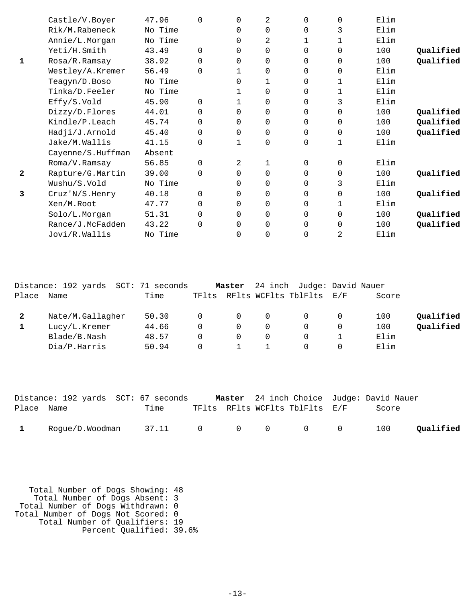|              | Castle/V.Boyer    | 47.96   | $\Omega$ | $\Omega$       | 2              | $\Omega$ | 0        | Elim |           |
|--------------|-------------------|---------|----------|----------------|----------------|----------|----------|------|-----------|
|              | Rik/M.Rabeneck    | No Time |          | 0              | 0              | $\Omega$ | 3        | Elim |           |
|              | Annie/L.Morgan    | No Time |          | 0              | $\overline{2}$ | 1        | 1        | Elim |           |
|              | Yeti/H.Smith      | 43.49   | $\Omega$ | $\Omega$       | 0              | $\Omega$ | 0        | 100  | Qualified |
| 1            | Rosa/R.Ramsay     | 38.92   | $\Omega$ | 0              | 0              | 0        | 0        | 100  | Qualified |
|              | Westley/A.Kremer  | 56.49   | $\Omega$ |                | $\Omega$       | $\Omega$ | 0        | Elim |           |
|              | Teagyn/D.Boso     | No Time |          | $\Omega$       | 1              | $\Omega$ | 1        | Elim |           |
|              | Tinka/D.Feeler    | No Time |          |                | 0              | 0        | 1        | Elim |           |
|              | Effy/S.Vold       | 45.90   | $\Omega$ |                | 0              | $\Omega$ | 3        | Elim |           |
|              | Dizzy/D.Flores    | 44.01   | $\Omega$ | $\Omega$       | 0              | $\Omega$ | 0        | 100  | Qualified |
|              | Kindle/P.Leach    | 45.74   | $\Omega$ | 0              | 0              | $\Omega$ | 0        | 100  | Qualified |
|              | Hadji/J.Arnold    | 45.40   | $\Omega$ | $\Omega$       | $\Omega$       | $\Omega$ | $\Omega$ | 100  | Qualified |
|              | Jake/M.Wallis     | 41.15   | $\Omega$ | 1              | 0              | 0        | 1        | Elim |           |
|              | Cayenne/S.Huffman | Absent  |          |                |                |          |          |      |           |
|              | Roma/V.Ramsay     | 56.85   | $\Omega$ | $\overline{2}$ | 1              | $\Omega$ | 0        | Elim |           |
| $\mathbf{2}$ | Rapture/G.Martin  | 39.00   | $\Omega$ | 0              | 0              | $\Omega$ | 0        | 100  | Qualified |
|              | Wushu/S.Vold      | No Time |          | $\Omega$       | 0              | $\Omega$ | 3        | Elim |           |
| 3            | Cruz'N/S.Henry    | 40.18   | $\Omega$ | $\Omega$       | 0              | $\Omega$ | $\Omega$ | 100  | Qualified |
|              | Xen/M.Root        | 47.77   | $\Omega$ | 0              | 0              | 0        | 1        | Elim |           |
|              | Solo/L.Morgan     | 51.31   | $\Omega$ | $\Omega$       | 0              | $\Omega$ | $\Omega$ | 100  | Qualified |
|              | Rance/J.McFadden  | 43.22   | $\Omega$ | $\Omega$       | 0              | $\Omega$ | 0        | 100  | Qualified |
|              | Jovi/R.Wallis     | No Time |          | 0              | 0              | 0        | 2        | Elim |           |
|              |                   |         |          |                |                |          |          |      |           |

|       | Distance: 192 yards SCT: 71 seconds |       |          | Master   |          | 24 inch Judge: David Nauer |     |       |           |
|-------|-------------------------------------|-------|----------|----------|----------|----------------------------|-----|-------|-----------|
| Place | Name                                | Time  | TFlts    |          |          | RFlts WCFlts TblFlts       | E/F | Score |           |
|       | Nate/M.Gallagher                    | 50.30 | $\Omega$ | $\Omega$ | $\Omega$ |                            |     | 100   | Qualified |
|       | Lucy/L.Kremer                       | 44.66 | $\Omega$ | $\Omega$ | 0        |                            |     | 100   | Qualified |
|       | Blade/B.Nash                        | 48.57 | $\Omega$ | $\Omega$ | 0        |                            |     | Elim  |           |
|       | Dia/P.Harris                        | 50.94 | $\Omega$ |          |          |                            |     | Elim  |           |
|       |                                     |       |          |          |          |                            |     |       |           |

|              | Distance: 192 yards SCT: 67 seconds |  |                                | <b>Master</b> 24 inch Choice Judge: David Nauer |           |
|--------------|-------------------------------------|--|--------------------------------|-------------------------------------------------|-----------|
| Place Name   | Time                                |  | TFlts RFlts WCFlts TblFlts E/F | Score                                           |           |
| $\mathbf{1}$ | $Roque/D.Woodman$ $37.11$ 0 0 0 0 0 |  |                                | 100                                             | Qualified |

 Total Number of Dogs Showing: 48 Total Number of Dogs Absent: 3 Total Number of Dogs Withdrawn: 0 Total Number of Dogs Not Scored: 0 Total Number of Qualifiers: 19 Percent Qualified: 39.6%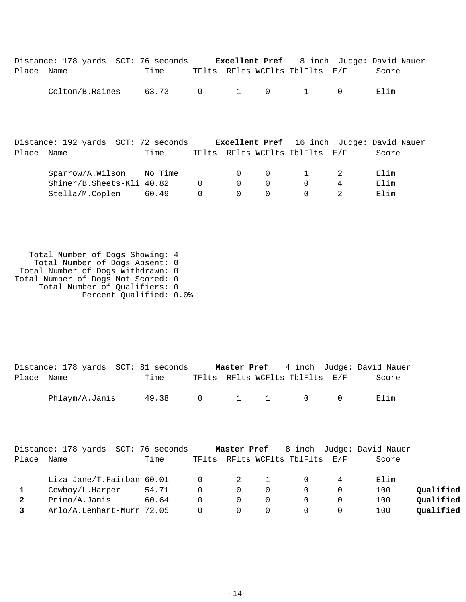|       | Distance: 178 yards SCT: 76 seconds                                                   |       |             | Excellent Pref       |                         |                                |                     | 8 inch Judge: David Nauer |
|-------|---------------------------------------------------------------------------------------|-------|-------------|----------------------|-------------------------|--------------------------------|---------------------|---------------------------|
| Place | Name                                                                                  | Time  |             |                      |                         | TFlts RFlts WCFlts TblFlts E/F |                     | Score                     |
|       | Colton/B.Raines                                                                       | 63.73 | $\mathbf 0$ | $\mathbf{1}$         | $\overline{0}$          | 1                              | $\Omega$            | Elim                      |
| Place | Distance: 192 yards SCT: 72 seconds Excellent Pref 16 inch Judge: David Nauer<br>Name | Time  |             |                      |                         | TFlts RFlts WCFlts TblFlts E/F |                     | Score                     |
|       | Sparrow/A.Wilson No Time<br>Shiner/B.Sheets-Kli 40.82                                 |       | $\Omega$    | $\Omega$<br>$\Omega$ | $\mathbf 0$<br>$\Omega$ | $\Omega$                       | 2<br>$\overline{4}$ | Elim<br>Elim              |
|       | Stella/M.Coplen                                                                       | 60.49 |             | 0                    | 0                       |                                | 2                   | Elim                      |

 Total Number of Dogs Showing: 4 Total Number of Dogs Absent: 0 Total Number of Dogs Withdrawn: 0 Total Number of Dogs Not Scored: 0 Total Number of Qualifiers: 0 Percent Qualified: 0.0%

|            | Distance: 178 yards SCT: 81 seconds |       |  |                                         | <b>Master Pref</b> 4 inch Judge: David Nauer |
|------------|-------------------------------------|-------|--|-----------------------------------------|----------------------------------------------|
| Place Name |                                     | Time  |  | TFlts RFlts WCFlts TblFlts E/F          | Score                                        |
|            | Phlaym/A.Janis                      | 49.38 |  | $0 \qquad 1 \qquad 1 \qquad 0 \qquad 0$ | Elim                                         |

|       | Distance: 178 yards SCT: 76 seconds |       |          |                |          |                                | Master Pref 8 inch Judge: David Nauer |           |
|-------|-------------------------------------|-------|----------|----------------|----------|--------------------------------|---------------------------------------|-----------|
| Place | Name                                | Time  |          |                |          | TFlts RFlts WCFlts TblFlts E/F | Score                                 |           |
|       | Liza Jane/T.Fairban 60.01           |       | $\Omega$ | $\overline{2}$ |          | $\Omega$                       | Elim                                  |           |
|       | Cowboy/L.Harper                     | 54.71 | $\Omega$ | $\Omega$       | $\Omega$ |                                | 100                                   | Oualified |
|       | Primo/A.Janis                       | 60.64 | $\Omega$ | $\Omega$       | 0        |                                | 100                                   | Qualified |
|       | Arlo/A.Lenhart-Murr 72.05           |       | $\Omega$ | (              | 0        | <sup>O</sup>                   | 100                                   | Oualified |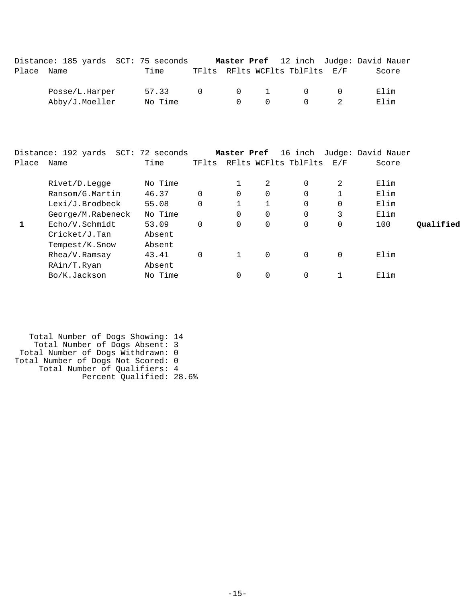|            | Distance: 185 yards SCT: 75 seconds Master Pref 12 inch Judge: David Nauer |                 |  |                                             |                                                 |  |
|------------|----------------------------------------------------------------------------|-----------------|--|---------------------------------------------|-------------------------------------------------|--|
| Place Name |                                                                            | Time            |  | TFlts RFlts WCFlts TblFlts E/F              | Score                                           |  |
|            | Posse/L.Harper                                                             | 57.33 0 0 1 0 0 |  |                                             | Elim                                            |  |
|            | Abby/J.Moeller No Time                                                     |                 |  | $\begin{matrix} 0 & 0 & 0 & 2 \end{matrix}$ | Elim                                            |  |
| Place Name | Distance: 192 yards SCT: 72 seconds                                        | Time            |  | TFlts RFlts WCFlts TblFlts E/F              | Master Pref 16 inch Judge: David Nauer<br>Score |  |

| Rivet/D.Legge     | No Time |          | 2 | 0        | 2 | Elim |           |
|-------------------|---------|----------|---|----------|---|------|-----------|
| Ransom/G.Martin   | 46.37   | 0        | 0 | 0        |   | Elim |           |
| Lexi/J.Brodbeck   | 55.08   |          |   | 0        | 0 | Elim |           |
| George/M.Rabeneck | No Time | 0        | 0 | 0        | 3 | Elim |           |
| Echo/V.Schmidt    | 53.09   | $\Omega$ | 0 | 0        | 0 | 100  | Oualified |
| $Cricket/J$ . Tan | Absent  |          |   |          |   |      |           |
| Tempest/K.Snow    | Absent  |          |   |          |   |      |           |
| Rhea/V.Ramsay     | 43.41   |          | 0 | $\Omega$ | 0 | Elim |           |
| RAin/T.Ryan       | Absent  |          |   |          |   |      |           |
| Bo/K.Jackson      | No Time |          | 0 |          |   | Elim |           |

```
 Total Number of Dogs Showing: 14
 Total Number of Dogs Absent: 3
 Total Number of Dogs Withdrawn: 0
Total Number of Dogs Not Scored: 0
 Total Number of Qualifiers: 4
 Percent Qualified: 28.6%
```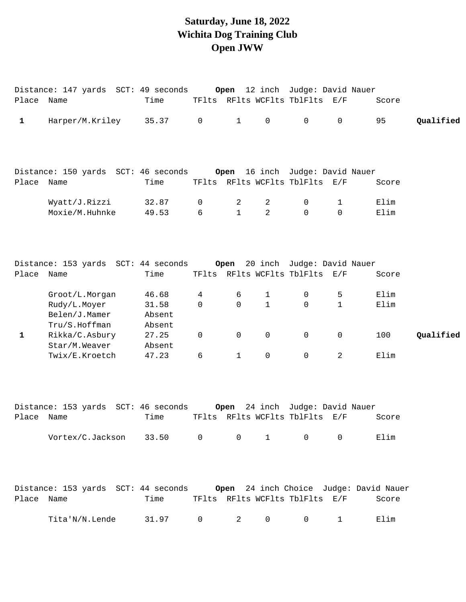# **Saturday, June 18, 2022 Wichita Dog Training Club Open JWW**

| Place Name   |                                                                                     | Time                      |                     |                   |                     | TFlts RFlts WCFlts TblFlts E/F                               |                  | Score        |           |
|--------------|-------------------------------------------------------------------------------------|---------------------------|---------------------|-------------------|---------------------|--------------------------------------------------------------|------------------|--------------|-----------|
| $\mathbf 1$  | Harper/M.Kriley                                                                     | 35.37                     | $\mathsf{O}$        | $\mathbf{1}$      | $\mathsf{O}$        | $\mathsf{O}$                                                 | $\mathsf{O}$     | 95           | Qualified |
|              |                                                                                     |                           |                     |                   |                     |                                                              |                  |              |           |
| Place Name   |                                                                                     | Time                      |                     |                   |                     | TFlts RFlts WCFlts TblFlts E/F                               |                  | Score        |           |
|              | Wyatt/J.Rizzi<br>Moxie/M.Huhnke                                                     | 32.87<br>49.53            | 0<br>6              | 2<br>$\mathbf{1}$ | 2<br>$\overline{2}$ | 0<br>$\mathsf{O}$                                            | 1<br>$\mathbf 0$ | Elim<br>Elim |           |
| Place Name   | Distance: 153 yards SCT: 44 seconds Open                                            | Time                      |                     |                   |                     | 20 inch Judge: David Nauer<br>TFlts RFlts WCFlts TblFlts E/F |                  | Score        |           |
|              | Groot/L.Morgan                                                                      | 46.68                     | 4                   | 6                 | $\mathbf{1}$        | $\mathsf{O}$                                                 | 5                | Elim         |           |
|              | Rudy/L.Moyer<br>Belen/J.Mamer<br>Tru/S.Hoffman                                      | 31.58<br>Absent<br>Absent | $\mathbf 0$         | 0                 | $\mathbf{1}$        | $\mathbf 0$                                                  | $\mathbf{1}$     | Elim         |           |
| $\mathbf{1}$ | Rikka/C.Asbury<br>Star/M.Weaver                                                     | 27.25<br>Absent           | $\mathsf{O}\xspace$ | 0                 | 0                   | $\mathbf 0$                                                  | $\mathbf 0$      | 100          | Qualified |
|              | Twix/E.Kroetch                                                                      | 47.23                     | 6                   | $\mathbf{1}$      | $\mathbf 0$         | $\mathbf 0$                                                  | 2                | Elim         |           |
|              | Distance: 153 yards SCT: 46 seconds                                                 |                           |                     |                   |                     | Open 24 inch Judge: David Nauer                              |                  |              |           |
| Place Name   |                                                                                     | Time                      |                     |                   |                     | TFlts RFlts WCFlts TblFlts E/F                               |                  | Score        |           |
|              | Vortex/C.Jackson 33.50                                                              |                           | $\overline{0}$      | $\mathsf{O}$      |                     | $1 \qquad \qquad 0$                                          | $\overline{0}$   | Elim         |           |
|              | Distance: 153 yards  SCT: 44 seconds <b>Open</b> 24 inch Choice  Judge: David Nauer |                           |                     |                   |                     |                                                              |                  |              |           |
| Place Name   |                                                                                     | Time                      |                     |                   |                     | TFlts RFlts WCFlts TblFlts E/F                               |                  | Score        |           |
|              | Tita'N/N.Lende                                                                      | 31.97                     | 0                   | 2                 | 0                   | $\mathsf{O}$                                                 | $\mathbf 1$      | Elim         |           |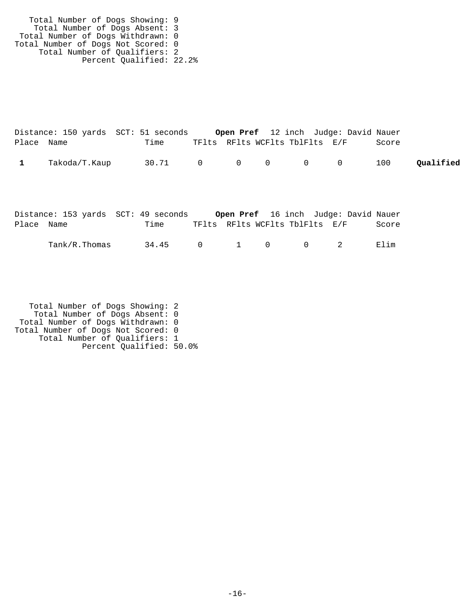Total Number of Dogs Showing: 9 Total Number of Dogs Absent: 3 Total Number of Dogs Withdrawn: 0 Total Number of Dogs Not Scored: 0 Total Number of Qualifiers: 2 Percent Qualified: 22.2%

|              |               | Distance: 150 yards SCT: 51 seconds |                                |  | <b>Open Pref</b> 12 inch Judge: David Nauer |       |           |
|--------------|---------------|-------------------------------------|--------------------------------|--|---------------------------------------------|-------|-----------|
| Place Name   |               | Time                                | TFlts RFlts WCFlts TblFlts E/F |  |                                             | Score |           |
| $\mathbf{1}$ | Takoda/T.Kaup | 30.71 0 0 0 0 0                     |                                |  |                                             | 100   | Oualified |

|            |               | Distance: 153 yards  SCT: 49 seconds |                                |                                                               |           | <b>Open Pref</b> 16 inch Judge: David Nauer |
|------------|---------------|--------------------------------------|--------------------------------|---------------------------------------------------------------|-----------|---------------------------------------------|
| Place Name |               | Time                                 | TFlts RFlts WCFlts TblFlts E/F |                                                               |           | Score                                       |
|            | Tank/R.Thomas | 34.45                                | $\overline{a}$                 | $\begin{array}{ccc} & & & 1 & \quad & \mathbf{0} \end{array}$ | $\bigcap$ | Elim                                        |

 Total Number of Dogs Showing: 2 Total Number of Dogs Absent: 0 Total Number of Dogs Withdrawn: 0 Total Number of Dogs Not Scored: 0 Total Number of Qualifiers: 1 Percent Qualified: 50.0%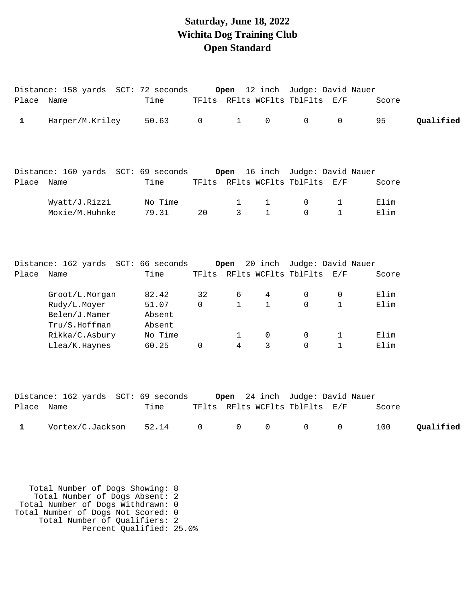# **Saturday, June 18, 2022 Wichita Dog Training Club Open Standard**

|              | Distance: 158 yards SCT: 72 seconds Open                                           |                                               |                     |                        |                              | 12 inch Judge: David Nauer                                        |                        |                      |           |
|--------------|------------------------------------------------------------------------------------|-----------------------------------------------|---------------------|------------------------|------------------------------|-------------------------------------------------------------------|------------------------|----------------------|-----------|
| Place Name   |                                                                                    | Time                                          |                     |                        |                              | TFlts RFlts WCFlts TblFlts E/F                                    |                        | Score                |           |
| $\mathbf{1}$ | Harper/M.Kriley                                                                    | 50.63                                         | $\mathsf{O}\xspace$ | $\mathbf{1}$           | $\mathsf{O}\xspace$          | $\mathsf{O}$                                                      | $\mathsf{O}$           | 95                   | Qualified |
| Place        | Distance: 160 yards SCT: 69 seconds<br>Name                                        | Time                                          |                     |                        |                              | Open 16 inch Judge: David Nauer<br>TFlts RFlts WCFlts TblFlts E/F |                        | Score                |           |
|              | Wyatt/J.Rizzi<br>Moxie/M.Huhnke                                                    | No Time<br>79.31                              | 20                  | 1<br>3                 | $\mathbf{1}$<br>$\mathbf{1}$ | 0<br>$\Omega$                                                     | 1<br>$\mathbf{1}$      | Elim<br>Elim         |           |
| Place Name   |                                                                                    | Time                                          |                     |                        |                              | TFlts RFlts WCFlts TblFlts E/F                                    |                        | Score                |           |
|              | Groot/L.Morgan<br>Rudy/L.Moyer<br>Belen/J.Mamer<br>Tru/S.Hoffman<br>Rikka/C.Asbury | 82.42<br>51.07<br>Absent<br>Absent<br>No Time | 32<br>0             | 6<br>$\mathbf{1}$<br>1 | 4<br>$\mathbf{1}$<br>0       | 0<br>$\Omega$<br>0                                                | 0<br>$\mathbf{1}$<br>1 | Elim<br>Elim<br>Elim |           |
|              | Llea/K.Haynes<br>Distance: 162 yards SCT: 69 seconds                               | 60.25                                         | 0                   | 4                      | $\mathsf{3}$                 | $\mathbf 0$<br>Open 24 inch Judge: David Nauer                    | $\mathbf 1$            | Elim                 |           |
| Place Name   |                                                                                    | Time                                          |                     |                        |                              | TFlts RFlts WCFlts TblFlts E/F                                    |                        | Score                |           |
| 1            | Vortex/C.Jackson                                                                   | 52.14                                         | 0                   | $\mathsf{O}\xspace$    | 0                            | $\mathsf{O}\xspace$                                               | 0                      | 100                  | Qualified |

 Total Number of Dogs Showing: 8 Total Number of Dogs Absent: 2 Total Number of Dogs Withdrawn: 0 Total Number of Dogs Not Scored: 0 Total Number of Qualifiers: 2 Percent Qualified: 25.0%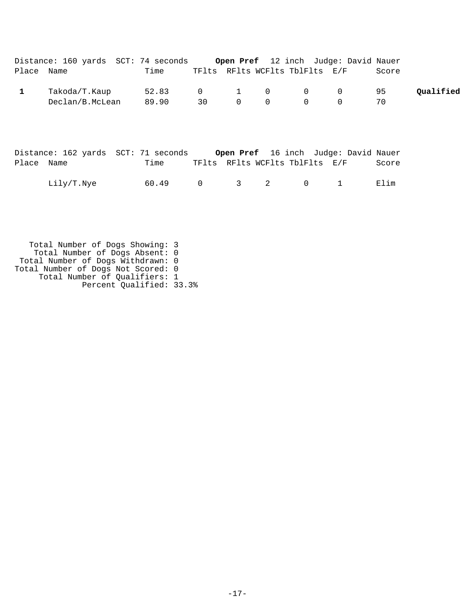|            | Distance: 160 yards SCT: 74 seconds |                |                  |          |          |                                | Open Pref 12 inch Judge: David Nauer |       |           |
|------------|-------------------------------------|----------------|------------------|----------|----------|--------------------------------|--------------------------------------|-------|-----------|
| Place Name |                                     | Time           |                  |          |          | TFlts RFlts WCFlts TblFlts E/F |                                      | Score |           |
|            | Takoda/T.Kaup<br>Declan/B.McLean    | 52.83<br>89.90 | $\Omega$<br>30 L | $\Omega$ | $\Omega$ | 1 0 0 0<br>$\bigcap$           |                                      | 95    | Qualified |

|            | Distance: 162 yards SCT: 71 seconds |       |                                |  |  | Open Pref 16 inch Judge: David Nauer |       |
|------------|-------------------------------------|-------|--------------------------------|--|--|--------------------------------------|-------|
| Place Name |                                     | Time  | TFlts RFlts WCFlts TblFlts E/F |  |  |                                      | Score |
|            | Lily/T.Nye                          | 60.49 | 0 3 2 0 1                      |  |  |                                      | Elim  |

 Total Number of Dogs Showing: 3 Total Number of Dogs Absent: 0 Total Number of Dogs Withdrawn: 0 Total Number of Dogs Not Scored: 0 Total Number of Qualifiers: 1 Percent Qualified: 33.3%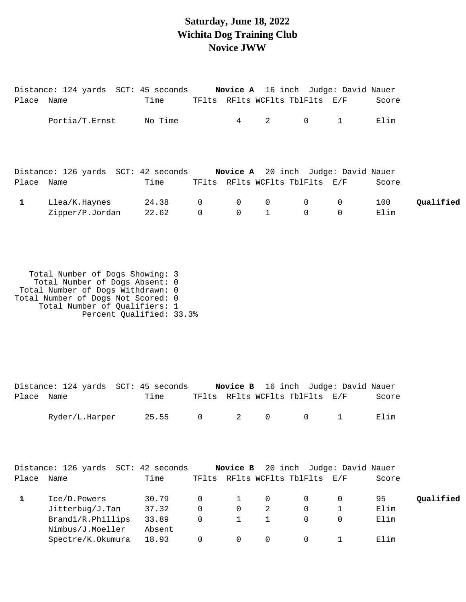## **Saturday, June 18, 2022 Wichita Dog Training Club Novice JWW**

|              | Distance: 124 yards SCT: 45 seconds Novice A 16 inch Judge: David Nauer |         |             |                                                    |   |                                |                |                                            |           |
|--------------|-------------------------------------------------------------------------|---------|-------------|----------------------------------------------------|---|--------------------------------|----------------|--------------------------------------------|-----------|
| Place Name   |                                                                         | Time    |             |                                                    |   | TFlts RFlts WCFlts TblFlts E/F |                | Score                                      |           |
|              | Portia/T.Ernst                                                          | No Time |             | $4\degree$                                         | 2 | $\overline{0}$                 |                | Elim                                       |           |
|              | Distance: 126 yards SCT: 42 seconds                                     |         |             |                                                    |   |                                |                | <b>Novice A</b> 20 inch Judge: David Nauer |           |
| Place Name   |                                                                         | Time    |             |                                                    |   | TFlts RFlts WCFlts TblFlts E/F |                | Score                                      |           |
| $\mathbf{1}$ | Llea/K.Haynes                                                           | 24.38 0 |             | $\begin{array}{ccc} & & 0 & \quad & 0 \end{array}$ |   | $\overline{0}$                 | $\overline{0}$ | 100                                        | Qualified |
|              | Zipper/P.Jordan                                                         | 22.62   | $\mathsf 0$ | $\overline{0}$                                     |   | $\mathsf{O}$                   | $\mathbf 0$    | Elim                                       |           |

 Total Number of Dogs Showing: 3 Total Number of Dogs Absent: 0 Total Number of Dogs Withdrawn: 0 Total Number of Dogs Not Scored: 0 Total Number of Qualifiers: 1 Percent Qualified: 33.3%

|       | Distance: 124 yards  SCT: 45 seconds |        |             |              |                | <b>Novice B</b> 16 inch Judge: David Nauer |             |       |           |
|-------|--------------------------------------|--------|-------------|--------------|----------------|--------------------------------------------|-------------|-------|-----------|
| Place | Name                                 | Time   | TFlts       |              |                | RFlts WCFlts TblFlts                       | E/F         | Score |           |
|       | Ryder/L.Harper                       | 25.55  | $\mathbf 0$ | 2            | $\overline{0}$ | $\Omega$                                   |             | Elim  |           |
|       |                                      |        |             |              |                |                                            |             |       |           |
|       | Distance: 126 yards SCT: 42 seconds  |        |             |              |                | Novice B 20 inch Judge: David Nauer        |             |       |           |
| Place | Name                                 | Time   |             |              |                | TFlts RFlts WCFlts TblFlts                 | E/F         | Score |           |
| 1     | Ice/D.Powers                         | 30.79  | $\mathbf 0$ | $\mathbf 1$  | $\mathbf 0$    | 0                                          | 0           | 95    | Qualified |
|       | Jitterbug/J.Tan                      | 37.32  | $\Omega$    | $\mathbf 0$  | 2              | $\Omega$                                   |             | Elim  |           |
|       | Brandi/R.Phillips                    | 33.89  | $\mathbf 0$ | $\mathbf{1}$ | 1              | $\Omega$                                   | $\mathbf 0$ | Elim  |           |
|       | Nimbus/J.Moeller                     | Absent |             |              |                |                                            |             |       |           |
|       | Spectre/K.Okumura                    | 18.93  | 0           | 0            | 0              | 0                                          |             | Elim  |           |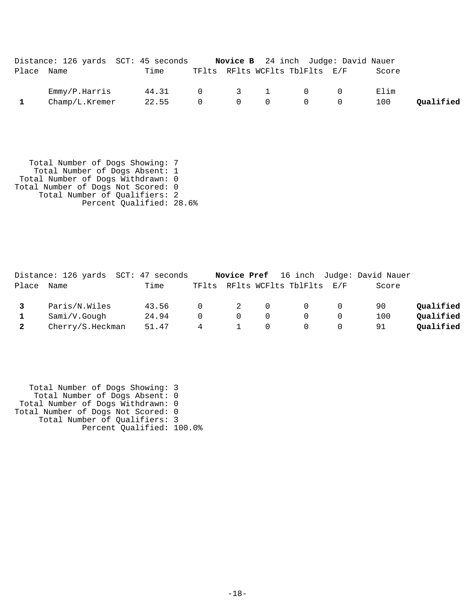|            | Distance: 126 yards SCT: 45 seconds |       |          |                                             | <b>Novice B</b> 24 inch Judge: David Nauer         |     |       |           |
|------------|-------------------------------------|-------|----------|---------------------------------------------|----------------------------------------------------|-----|-------|-----------|
| Place Name |                                     | Time  |          |                                             | TFlts RFlts WCFlts TblFlts E/F                     |     | Score |           |
|            | Emmy/P.Harris                       | 44.31 |          | $\begin{array}{cccc} 0 & 3 & 1 \end{array}$ | $\bigcap$                                          | - 0 | Elim  |           |
|            | Champ/L.Kremer                      | 22.55 | $\Omega$ | $\begin{matrix}0&0\end{matrix}$             | $\begin{array}{ccc} & & & 0 & \quad & \end{array}$ |     | 100   | Oualified |

 Total Number of Dogs Showing: 7 Total Number of Dogs Absent: 1 Total Number of Dogs Withdrawn: 0 Total Number of Dogs Not Scored: 0 Total Number of Qualifiers: 2 Percent Qualified: 28.6%

|              |                  | Distance: 126 yards SCT: 47 seconds |          |          |          |                                |          | Novice Pref 16 inch Judge: David Nauer |           |
|--------------|------------------|-------------------------------------|----------|----------|----------|--------------------------------|----------|----------------------------------------|-----------|
| Place        | Name             | Time                                |          |          |          | TFlts RFlts WCFlts TblFlts E/F |          | Score                                  |           |
|              | Paris/N.Wiles    | 43.56                               | $\Omega$ |          | 2 0      | $\overline{0}$                 | $\Omega$ | 90                                     | Oualified |
| $\mathbf{1}$ | Sami/V.Gough     | 24.94                               | $\cap$   | $\Omega$ | $\Omega$ |                                | $\Omega$ | 100                                    | Oualified |
|              | Cherry/S.Heckman | 51.47                               | -4       |          |          |                                | $\Omega$ | 91                                     | Oualified |

 Total Number of Dogs Showing: 3 Total Number of Dogs Absent: 0 Total Number of Dogs Withdrawn: 0 Total Number of Dogs Not Scored: 0 Total Number of Qualifiers: 3 Percent Qualified: 100.0%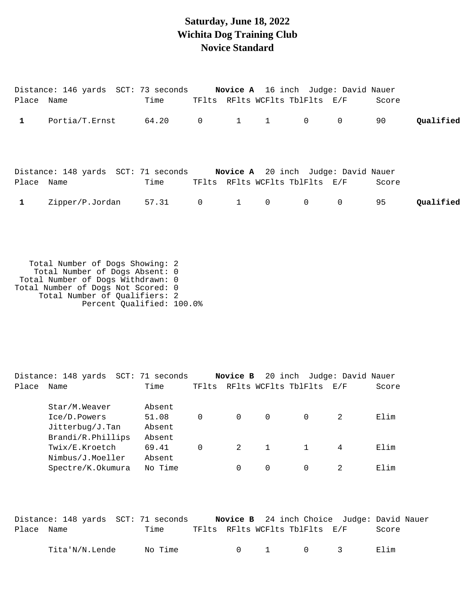## **Saturday, June 18, 2022 Wichita Dog Training Club Novice Standard**

|            | Distance: 146 yards SCT: 73 seconds Novice A 16 inch Judge: David Nauer |      |                |   |                |                                |                |       |           |
|------------|-------------------------------------------------------------------------|------|----------------|---|----------------|--------------------------------|----------------|-------|-----------|
| Place Name |                                                                         | Time |                |   |                | TFlts RFlts WCFlts TblFlts E/F |                | Score |           |
|            | $\n $ Portia/T.Ernst 64.20 0 1 1 0                                      |      |                |   |                |                                | $\overline{0}$ | 90    | Oualified |
| Place Name | Distance: 148 yards SCT: 71 seconds Novice A 20 inch Judge: David Nauer | Time |                |   |                | TFlts RFlts WCFlts TblFlts E/F |                | Score |           |
|            | Zipper/P.Jordan 57.31                                                   |      | $\overline{0}$ | 1 | $\overline{0}$ | $\overline{0}$                 | $\mathbf 0$    | 95    | Oualified |

 Total Number of Dogs Showing: 2 Total Number of Dogs Absent: 0 Total Number of Dogs Withdrawn: 0 Total Number of Dogs Not Scored: 0 Total Number of Qualifiers: 2 Percent Qualified: 100.0%

Distance: 148 yards SCT: 71 seconds **Novice B** 20 inch Judge: David Nauer Place Name Time TFlts RFlts WCFlts TblFlts E/F Score Star/M.Weaver Absent Ice/D.Powers 51.08 0 0 0 0 2 Elim Jitterbug/J.Tan Absent Brandi/R.Phillips Absent Twix/E.Kroetch 69.41 0 2 1 1 4 Elim Nimbus/J.Moeller Absent Spectre/K.Okumura No Time 0 0 0 0 2 Elim

|            | Distance: 148 yards SCT: 71 seconds |         |                                |                                             | Novice B 24 inch Choice Judge: David Nauer |
|------------|-------------------------------------|---------|--------------------------------|---------------------------------------------|--------------------------------------------|
| Place Name |                                     | Time    | TFlts RFlts WCFlts TblFlts E/F |                                             | Score                                      |
|            | Tita'N/N.Lende                      | No Time |                                | $\begin{matrix} 0 & 1 & 0 & 3 \end{matrix}$ | Elim                                       |